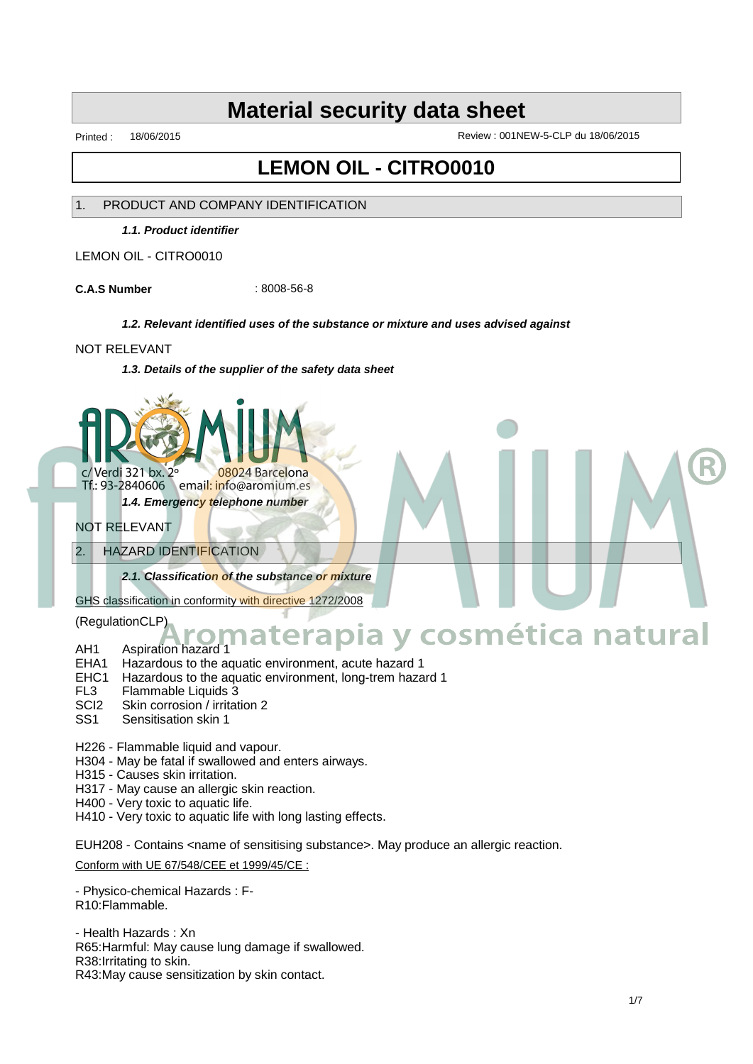Printed : 18/06/2015 Review : 001NEW-5-CLP du 18/06/2015

# **LEMON OIL - CITRO0010**

#### 1. PRODUCT AND COMPANY IDENTIFICATION

**1.1. Product identifier**

LEMON OIL - CITRO0010

**C.A.S Number** : 8008-56-8

#### **1.2. Relevant identified uses of the substance or mixture and uses advised against**

#### NOT RELEVANT

**1.3. Details of the supplier of the safety data sheet**



email: info@aromium.es Tf.: 93-2840606 **1.4. Emergency telephone number**

# NOT RELEVANT

## 2. HAZARD IDENTIFICATION

**2.1. Classification of the substance or mixture**

GHS classification in conformity with directive 1272/2008

(RegulationCLP)

# AH1 Aspiration hazard 1 **Aromaterapia y cosmética natural**

- EHA1 Hazardous to the aquatic environment, acute hazard 1
- EHC1 Hazardous to the aquatic environment, long-trem hazard 1
- FL3 Flammable Liquids 3
- SCI2 Skin corrosion / irritation 2
- SS1 Sensitisation skin 1
- H226 Flammable liquid and vapour.
- H304 May be fatal if swallowed and enters airways.
- H315 Causes skin irritation.
- H317 May cause an allergic skin reaction.
- H400 Very toxic to aquatic life.
- H410 Very toxic to aquatic life with long lasting effects.

EUH208 - Contains <name of sensitising substance>. May produce an allergic reaction.

Conform with UE 67/548/CEE et 1999/45/CE :

- Physico-chemical Hazards : F-R10:Flammable.

- Health Hazards : Xn R65:Harmful: May cause lung damage if swallowed. R38:Irritating to skin. R43:May cause sensitization by skin contact.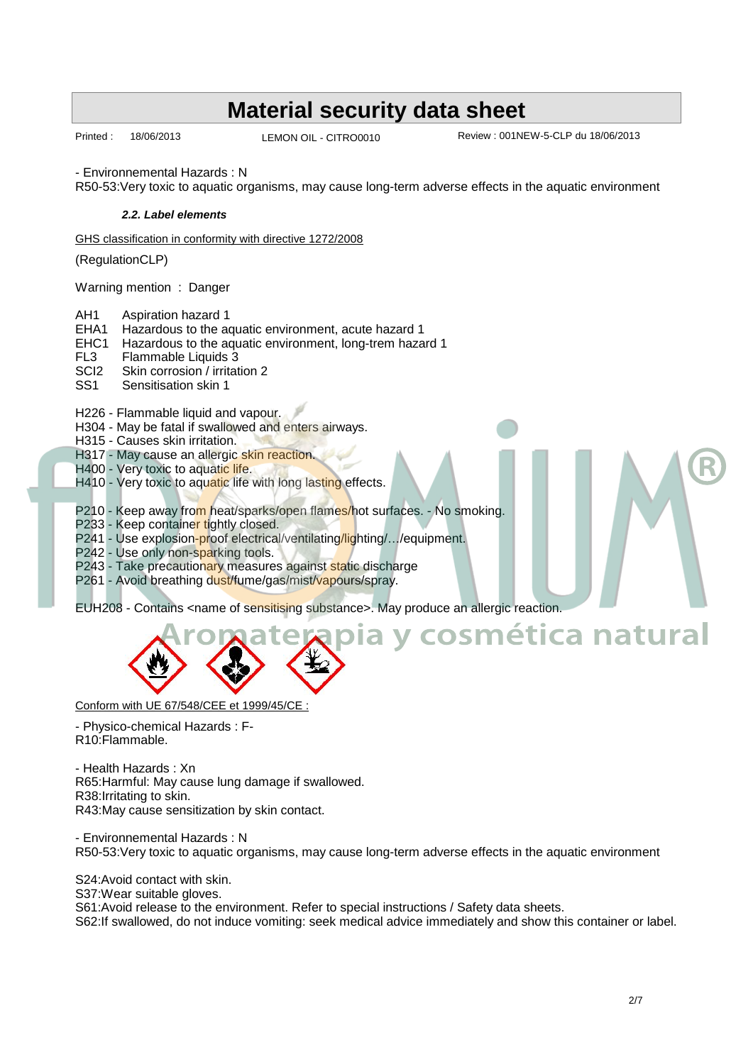LEMON OIL - CITRO0010

Printed : 18/06/2013 Review : 001NEW-5-CLP du 18/06/2013

**Aromaterapia y cosmética natural**

- Environnemental Hazards : N

R50-53:Very toxic to aquatic organisms, may cause long-term adverse effects in the aquatic environment

#### **2.2. Label elements**

GHS classification in conformity with directive 1272/2008

(RegulationCLP)

Warning mention : Danger

AH1 Aspiration hazard 1

EHA1 Hazardous to the aquatic environment, acute hazard 1

- EHC1 Hazardous to the aquatic environment, long-trem hazard 1
- FL3 Flammable Liquids 3<br>SCl2 Skin corrosion / irritat

SCI2 Skin corrosion / irritation 2<br>SS1 Sensitisation skin 1

Sensitisation skin 1

H226 - Flammable liquid and vapour.

- H304 May be fatal if swallowed and enters airways.
- H315 Causes skin irritation.

H317 - May cause an allergic skin reaction.

- H400 Very toxic to aquatic life.
- H410 Very toxic to aquatic life with long lasting effects.

P210 - Keep away from heat/sparks/open flames/hot surfaces. - No smoking.

- P233 Keep container tightly closed.
- P241 Use explosion-proof electrical/ventilating/lighting/.../equipment.

P242 - Use only non-sparking tools.

- P243 Take precautionary measures against static discharge
- P261 Avoid breathing dust/fume/gas/mist/vapours/spray.

EUH208 - Contains <name of sensitising substance>. May produce an allergic reaction.



Conform with UE 67/548/CEE et 1999/45/CE :

- Physico-chemical Hazards : F-R10:Flammable.

- Health Hazards : Xn R65:Harmful: May cause lung damage if swallowed. R38:Irritating to skin. R43:May cause sensitization by skin contact.

- Environnemental Hazards : N R50-53:Very toxic to aquatic organisms, may cause long-term adverse effects in the aquatic environment

S24:Avoid contact with skin. S37: Wear suitable gloves. S61:Avoid release to the environment. Refer to special instructions / Safety data sheets. S62:If swallowed, do not induce vomiting: seek medical advice immediately and show this container or label.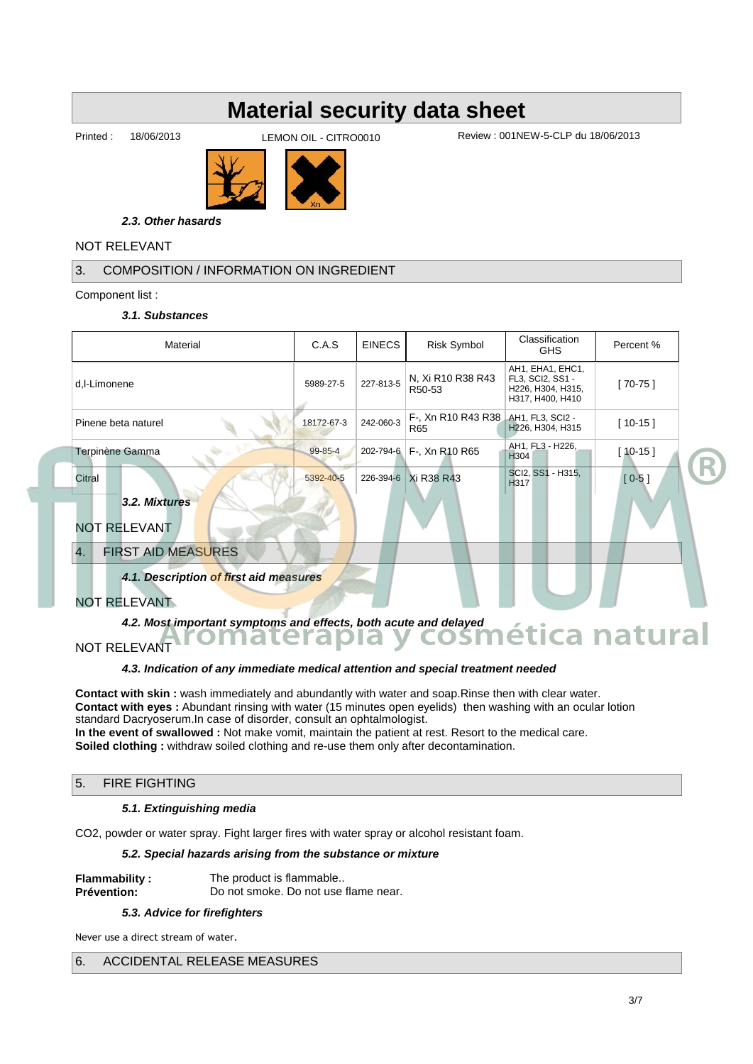LEMON OIL - CITRO0010

Printed : 18/06/2013 Review : 001NEW-5-CLP du 18/06/2013



**2.3. Other hasards**

# NOT RELEVANT

# 3. COMPOSITION / INFORMATION ON INGREDIENT

Component list :

#### **3.1. Substances**

| Material                                                                                                                                                            | C.A.S         | <b>EINECS</b> | <b>Risk Symbol</b>          | Classification<br><b>GHS</b>                                                  | Percent % |  |
|---------------------------------------------------------------------------------------------------------------------------------------------------------------------|---------------|---------------|-----------------------------|-------------------------------------------------------------------------------|-----------|--|
| d,l-Limonene                                                                                                                                                        | 5989-27-5     | 227-813-5     | N, Xi R10 R38 R43<br>R50-53 | AH1, EHA1, EHC1,<br>FL3, SCI2, SS1 -<br>H226, H304, H315,<br>H317, H400, H410 | $[70-75]$ |  |
| Pinene beta naturel                                                                                                                                                 | 18172-67-3    | 242-060-3     | F-, Xn R10 R43 R38<br>R65   | AH1, FL3, SCI2 -<br>H226, H304, H315                                          | $[10-15]$ |  |
| Terpinène Gamma                                                                                                                                                     | $99 - 85 - 4$ | 202-794-6     | F-, Xn R10 R65              | AH1, FL3 - H226,<br>H <sub>304</sub>                                          | $[10-15]$ |  |
| Citral                                                                                                                                                              | 5392-40-5     |               | 226-394-6 Xi R38 R43        | SCI2, SS1 - H315,<br>H <sub>317</sub>                                         | $[0-5]$   |  |
| 3.2. Mixtures                                                                                                                                                       |               |               |                             |                                                                               |           |  |
| <b>NOT RELEVANT</b>                                                                                                                                                 |               |               |                             |                                                                               |           |  |
| <b>FIRST AID MEASURES</b><br>4.                                                                                                                                     |               |               |                             |                                                                               |           |  |
| 4.1. Description of first aid measures                                                                                                                              |               |               |                             |                                                                               |           |  |
| <b>NOT RELEVANT</b>                                                                                                                                                 |               |               |                             |                                                                               |           |  |
| 4.2. Most important symptoms and effects, both acute and delayed<br>4.2. Most important symptoms and effects, both acute and delayed<br>$\bullet$ COSMÉtica natural |               |               |                             |                                                                               |           |  |
| <b>NOT RELEVANT</b>                                                                                                                                                 |               |               |                             |                                                                               |           |  |

#### **4.3. Indication of any immediate medical attention and special treatment needed**

**Contact with skin :** wash immediately and abundantly with water and soap.Rinse then with clear water. **Contact with eyes :** Abundant rinsing with water (15 minutes open eyelids) then washing with an ocular lotion standard Dacryoserum.In case of disorder, consult an ophtalmologist. **In the event of swallowed :** Not make vomit, maintain the patient at rest. Resort to the medical care. **Soiled clothing :** withdraw soiled clothing and re-use them only after decontamination.

## 5. FIRE FIGHTING

#### **5.1. Extinguishing media**

CO2, powder or water spray. Fight larger fires with water spray or alcohol resistant foam.

#### **5.2. Special hazards arising from the substance or mixture**

| <b>Flammability:</b> | The product is flammable             |
|----------------------|--------------------------------------|
| <b>Prévention:</b>   | Do not smoke. Do not use flame near. |

#### **5.3. Advice for firefighters**

Never use a direct stream of water.

## 6. ACCIDENTAL RELEASE MEASURES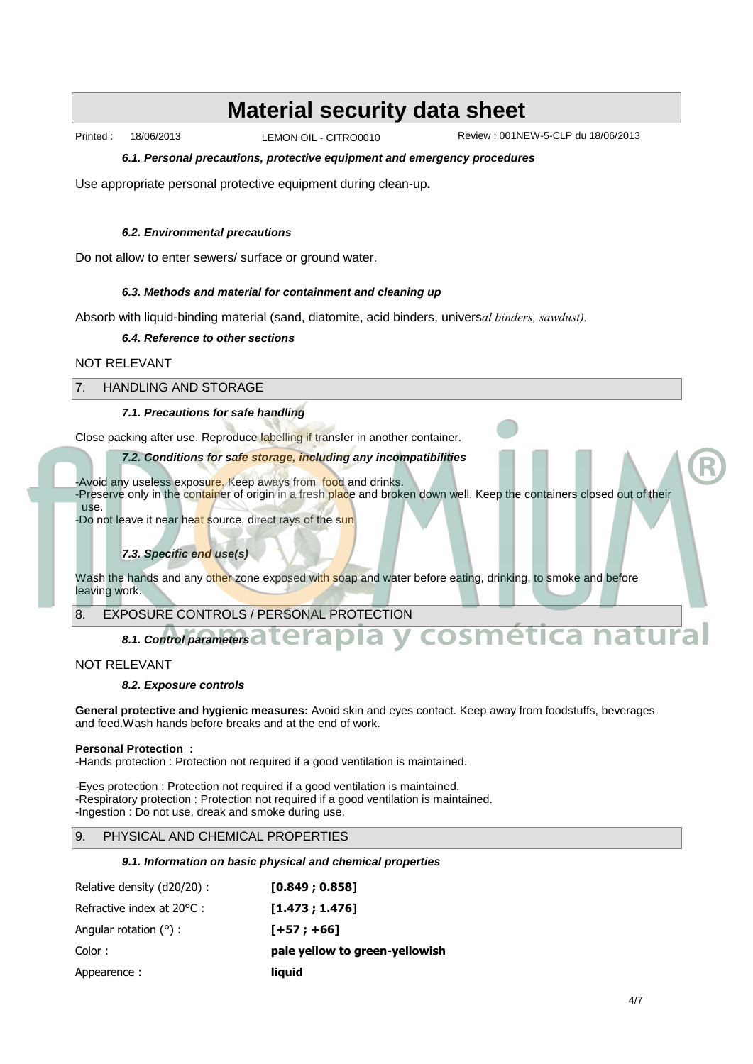LEMON OIL - CITRO0010

Printed : 18/06/2013 Review : 001NEW-5-CLP du 18/06/2013

**6.1. Personal precautions, protective equipment and emergency procedures**

Use appropriate personal protective equipment during clean-up**.**

#### **6.2. Environmental precautions**

Do not allow to enter sewers/ surface or ground water.

#### **6.3. Methods and material for containment and cleaning up**

Absorb with liquid-binding material (sand, diatomite, acid binders, univers*al binders, sawdust).*

#### **6.4. Reference to other sections**

#### NOT RELEVANT

#### 7. HANDLING AND STORAGE

#### **7.1. Precautions for safe handling**

Close packing after use. Reproduce labelling if transfer in another container.

#### **7.2. Conditions for safe storage, including any incompatibilities**

-Avoid any useless exposure. Keep aways from food and drinks.

-Preserve only in the container of origin in a fresh place and broken down well. Keep the containers closed out of their use.

-Do not leave it near heat source, direct rays of the sun

#### **7.3. Specific end use(s)**

Wash the hands and any other zone exposed with soap and water before eating, drinking, to smoke and before leaving work.

8. EXPOSURE CONTROLS / PERSONAL PROTECTION

# **8.1. Control parameters a l'errapia y cosmética natural**

#### NOT RELEVANT

#### **8.2. Exposure controls**

**General protective and hygienic measures:** Avoid skin and eyes contact. Keep away from foodstuffs, beverages and feed.Wash hands before breaks and at the end of work.

#### **Personal Protection :**

-Hands protection : Protection not required if a good ventilation is maintained.

-Eyes protection : Protection not required if a good ventilation is maintained. -Respiratory protection : Protection not required if a good ventilation is maintained. -Ingestion : Do not use, dreak and smoke during use.

#### 9. PHYSICAL AND CHEMICAL PROPERTIES

#### **9.1. Information on basic physical and chemical properties**

| Relative density (d20/20): | [0.849:0.858]                  |
|----------------------------|--------------------------------|
| Refractive index at 20 C : | [1.473:1.476]                  |
| Angular rotation $( )$ :   | $[+57; +66]$                   |
| Color:                     | pale yellow to green-yellowish |
| Appearence:                | liguid                         |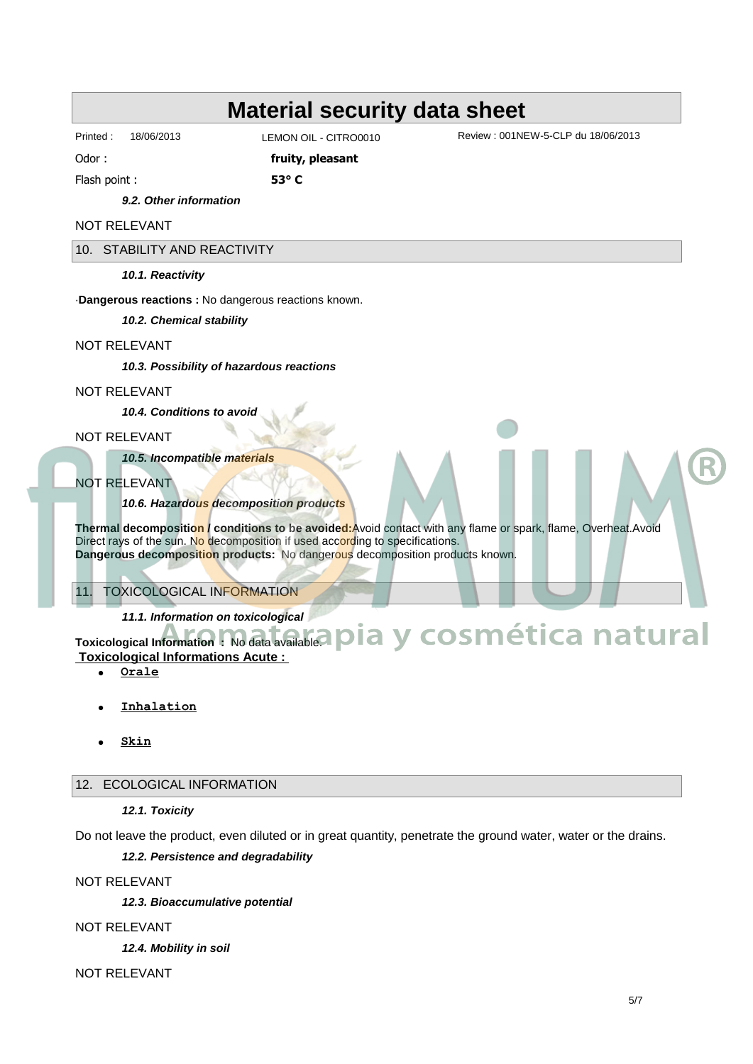LEMON OIL - CITRO0010

Printed : 18/06/2013 Review : 001NEW-5-CLP du 18/06/2013

Odor : *fruity, pleasant* 

Flash point : **53∞ C**

### **9.2. Other information**

NOT RELEVANT

10. STABILITY AND REACTIVITY

**10.1. Reactivity**

·**Dangerous reactions :** No dangerous reactions known.

**10.2. Chemical stability**

#### NOT RELEVANT

**10.3. Possibility of hazardous reactions**

#### NOT RELEVANT

**10.4. Conditions to avoid**

NOT RELEVANT

**10.5. Incompatible materials**

## NOT RELEVANT

## **10.6. Hazardous decomposition products**

**Thermal decomposition / conditions to be avoided:**Avoid contact with any flame or spark, flame, Overheat.Avoid Direct rays of the sun. No decomposition if used according to specifications. **Dangerous decomposition products:** No dangerous decomposition products known.

## 11. TOXICOLOGICAL INFORMATION

## **11.1. Information on toxicological**

11.1. Information on toxicological<br>Toxicological Information : No data available. **Pia y cosmética natural Toxicological Informations Acute :** 

- · **Orale**
- · **Inhalation**
- · **Skin**

#### 12. ECOLOGICAL INFORMATION

#### **12.1. Toxicity**

Do not leave the product, even diluted or in great quantity, penetrate the ground water, water or the drains.

## **12.2. Persistence and degradability**

NOT RELEVANT

**12.3. Bioaccumulative potential**

NOT RELEVANT

**12.4. Mobility in soil**

NOT RELEVANT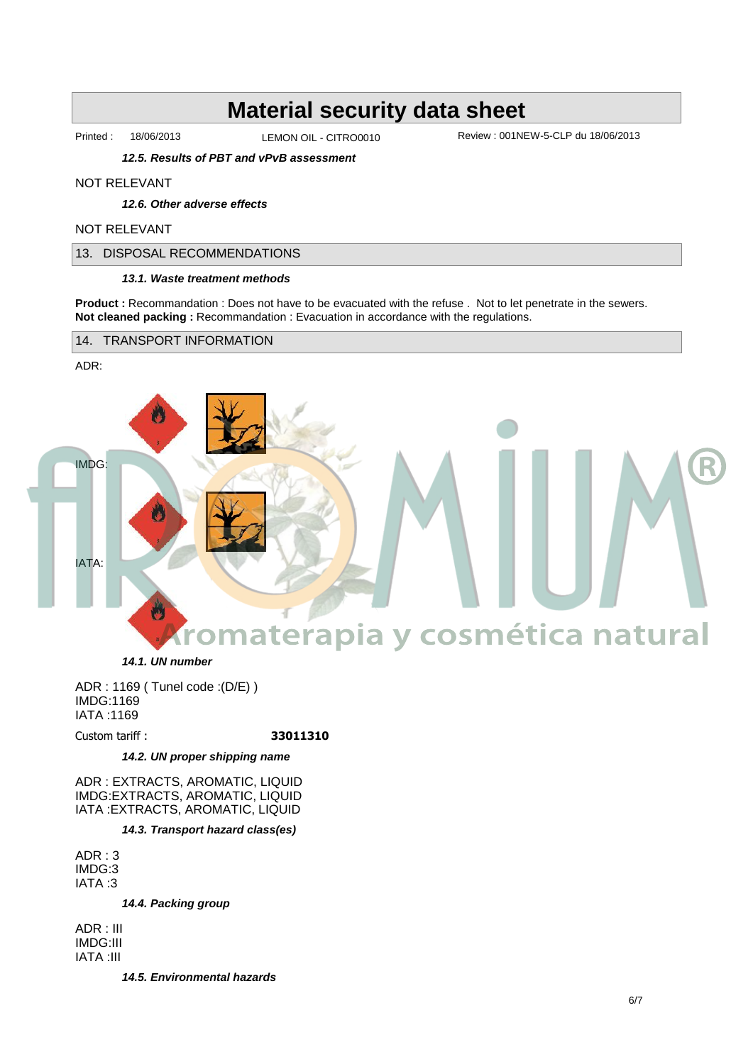LEMON OIL - CITRO0010

Printed : 18/06/2013 Review : 001NEW-5-CLP du 18/06/2013

**12.5. Results of PBT and vPvB assessment**

#### NOT RELEVANT

**12.6. Other adverse effects**

#### NOT RELEVANT

13. DISPOSAL RECOMMENDATIONS

#### **13.1. Waste treatment methods**

**Product :** Recommandation : Does not have to be evacuated with the refuse . Not to let penetrate in the sewers. **Not cleaned packing : Recommandation : Evacuation in accordance with the regulations.** 

14. TRANSPORT INFORMATION

#### ADR:



**14.1. UN number**

ADR : 1169 ( Tunel code :(D/E) ) IMDG:1169 IATA :1169

#### Custom tariff : **33011310**

#### **14.2. UN proper shipping name**

ADR : EXTRACTS, AROMATIC, LIQUID IMDG:EXTRACTS, AROMATIC, LIQUID IATA :EXTRACTS, AROMATIC, LIQUID

#### **14.3. Transport hazard class(es)**

ADR : 3 IMDG:3 IATA :3

**14.4. Packing group**

ADR : III IMDG:III IATA :III

**14.5. Environmental hazards**